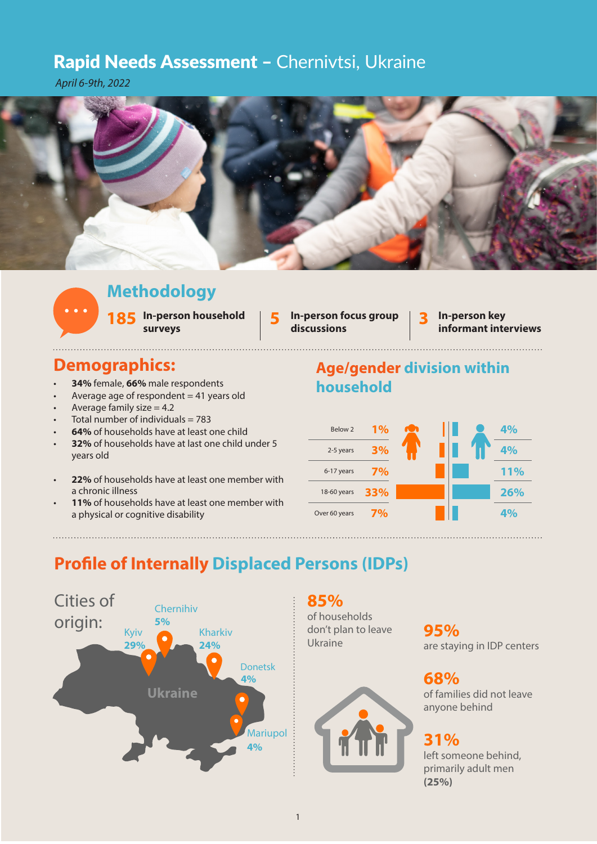### Rapid Needs Assessment - Chernivtsi, Ukraine

*April 6-9th, 2022*



# **Methodology**

**In-person household surveys**

**discussions**

**185** In-person household **185** In-person focus group **185** In-person key surveys discussions **In-person key** 

## **Demographics:**

- **34%** female, **66%** male respondents
- Average age of respondent  $= 41$  years old
- Average family size  $= 4.2$
- Total number of individuals  $= 783$
- **64%** of households have at least one child
- **32%** of households have at last one child under 5 years old
- **22%** of households have at least one member with a chronic illness
- 11% of households have at least one member with a physical or cognitive disability





# **Profile of Internally Displaced Persons (IDPs)**



### **85%**

of households don't plan to leave Ukraine

**95%** are staying in IDP centers

**68%** of families did not leave anyone behind

#### **31%**

left someone behind, primarily adult men **(25%)**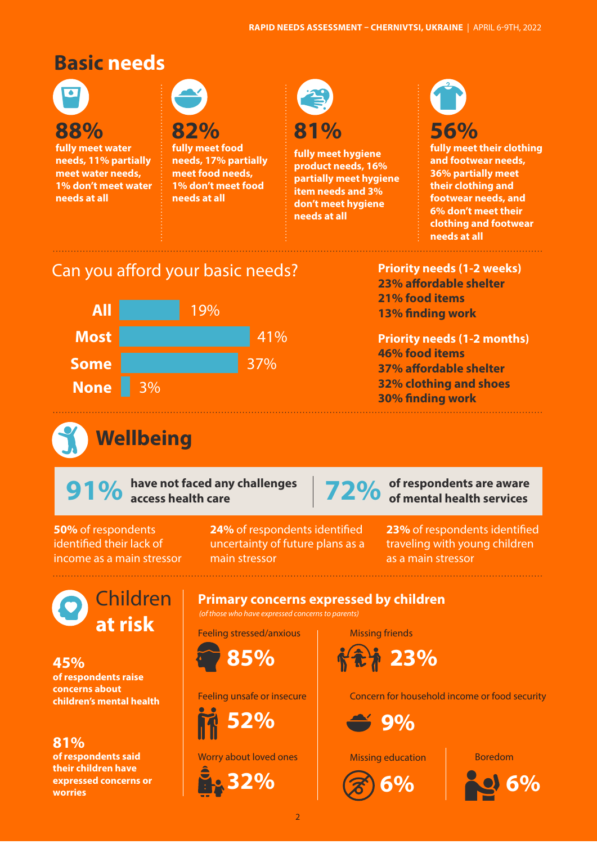# **Basic needs**



**fully meet water needs, 11% partially meet water needs, 1% don't meet water needs at all**

**82% fully meet food needs, 17% partially meet food needs, 1% don't meet food needs at all**



**81% fully meet hygiene** 

**product needs, 16% partially meet hygiene item needs and 3% don't meet hygiene needs at all**

# **56%**

**fully meet their clothing and footwear needs, 36% partially meet their clothing and footwear needs, and 6% don't meet their clothing and footwear needs at all**

# Can you afford your basic needs?



#### **Priority needs (1-2 weeks) 23% affordable shelter 21% food items 13% finding work**

#### **Priority needs (1-2 months) 46% food items 37% affordable shelter 32% clothing and shoes 30% finding work**

**Wellbeing**

**91%** have not faced any challenges



**72%** of respondents are aware<br>of mental health services

**50%** of respondents identified their lack of income as a main stressor **24%** of respondents identified main stressor

**23%** of respondents identified traveling with young children as a main stressor

Children **at risk**

**45% of respondents raise concerns about children's mental health**

**81% of respondents said their children have expressed concerns or worries**

uncertainty of future plans as a

**Primary concerns expressed by children**

(of those who have expressed concerns to parents)

Feeling stressed/anxious



Feeling unsafe or insecure



Worry about loved ones



Concern for household income or food security



Missing friends

 **23%**

Missing education



Boredom